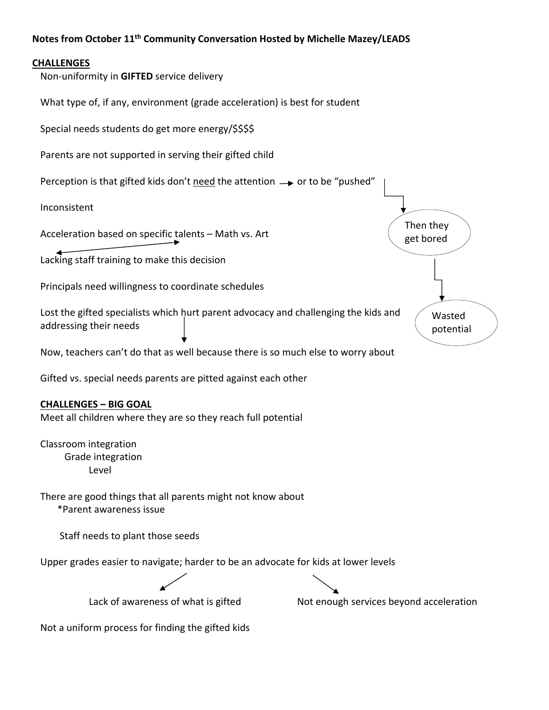## **Notes from October 11th Community Conversation Hosted by Michelle Mazey/LEADS**

## **CHALLENGES**

Non‐uniformity in **GIFTED** service delivery

What type of, if any, environment (grade acceleration) is best for student

Special needs students do get more energy/\$\$\$\$

Parents are not supported in serving their gifted child

Perception is that gifted kids don't need the attention  $\rightarrow$  or to be "pushed"

Inconsistent

Acceleration based on specific talents – Math vs. Art

Lacking staff training to make this decision

Principals need willingness to coordinate schedules

Lost the gifted specialists which hurt parent advocacy and challenging the kids and addressing their needs

Now, teachers can't do that as well because there is so much else to worry about

Gifted vs. special needs parents are pitted against each other

## **CHALLENGES – BIG GOAL**

Meet all children where they are so they reach full potential

Classroom integration Grade integration Level

There are good things that all parents might not know about \*Parent awareness issue

Staff needs to plant those seeds

Upper grades easier to navigate; harder to be an advocate for kids at lower levels

Lack of awareness of what is gifted **Souting the Services** beyond acceleration

Then they get bored

> Wasted potential

Not a uniform process for finding the gifted kids